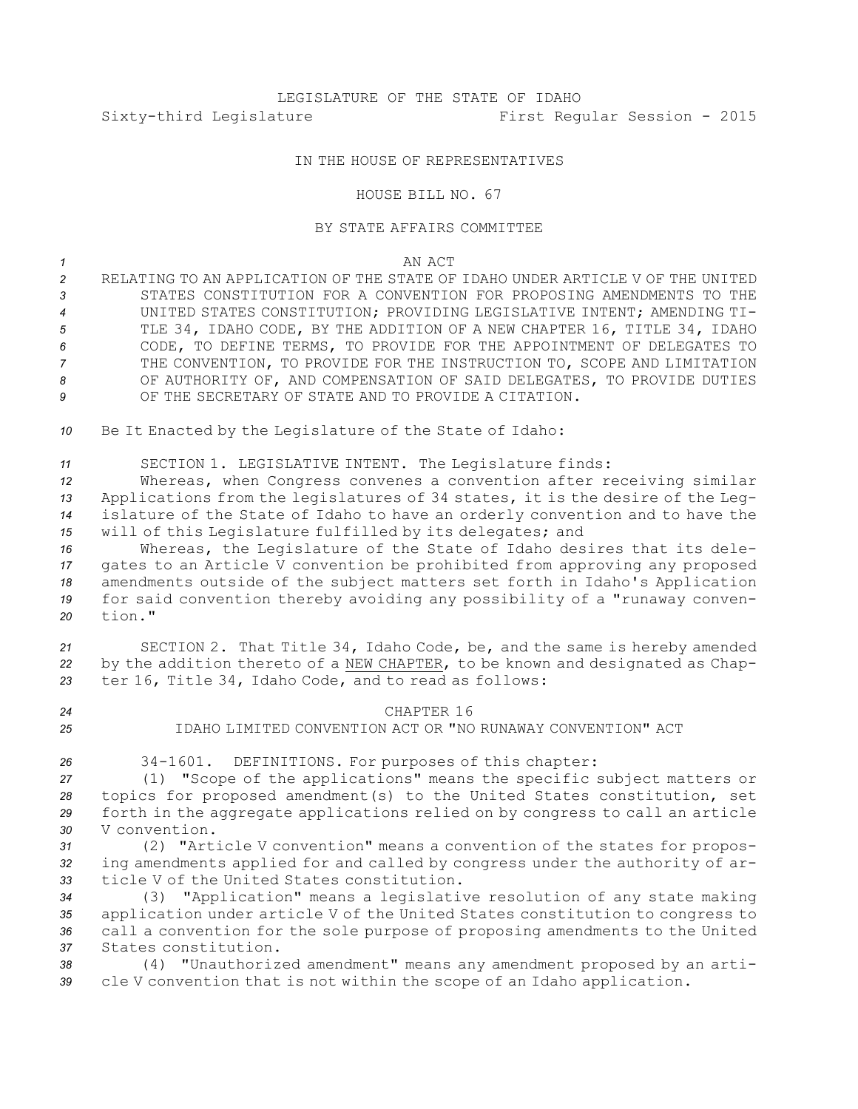# LEGISLATURE OF THE STATE OF IDAHO Sixty-third Legislature First Regular Session - 2015

## IN THE HOUSE OF REPRESENTATIVES

#### HOUSE BILL NO. 67

### BY STATE AFFAIRS COMMITTEE

#### *1* AN ACT

 RELATING TO AN APPLICATION OF THE STATE OF IDAHO UNDER ARTICLE V OF THE UNITED STATES CONSTITUTION FOR A CONVENTION FOR PROPOSING AMENDMENTS TO THE UNITED STATES CONSTITUTION; PROVIDING LEGISLATIVE INTENT; AMENDING TI- TLE 34, IDAHO CODE, BY THE ADDITION OF A NEW CHAPTER 16, TITLE 34, IDAHO CODE, TO DEFINE TERMS, TO PROVIDE FOR THE APPOINTMENT OF DELEGATES TO THE CONVENTION, TO PROVIDE FOR THE INSTRUCTION TO, SCOPE AND LIMITATION OF AUTHORITY OF, AND COMPENSATION OF SAID DELEGATES, TO PROVIDE DUTIES 9 OF THE SECRETARY OF STATE AND TO PROVIDE A CITATION.

*<sup>10</sup>* Be It Enacted by the Legislature of the State of Idaho:

*<sup>11</sup>* SECTION 1. LEGISLATIVE INTENT. The Legislature finds:

 Whereas, when Congress convenes <sup>a</sup> convention after receiving similar Applications from the legislatures of 34 states, it is the desire of the Leg- islature of the State of Idaho to have an orderly convention and to have the will of this Legislature fulfilled by its delegates; and

 Whereas, the Legislature of the State of Idaho desires that its dele- gates to an Article <sup>V</sup> convention be prohibited from approving any proposed amendments outside of the subject matters set forth in Idaho's Application for said convention thereby avoiding any possibility of <sup>a</sup> "runaway conven-*20* tion."

*<sup>21</sup>* SECTION 2. That Title 34, Idaho Code, be, and the same is hereby amended *<sup>22</sup>* by the addition thereto of <sup>a</sup> NEW CHAPTER, to be known and designated as Chap-*<sup>23</sup>* ter 16, Title 34, Idaho Code, and to read as follows:

- *24* CHAPTER 16
- *25* IDAHO LIMITED CONVENTION ACT OR "NO RUNAWAY CONVENTION" ACT
- 

*<sup>26</sup>* 34-1601. DEFINITIONS. For purposes of this chapter:

 (1) "Scope of the applications" means the specific subject matters or topics for proposed amendment(s) to the United States constitution, set forth in the aggregate applications relied on by congress to call an article V convention.

*<sup>31</sup>* (2) "Article <sup>V</sup> convention" means <sup>a</sup> convention of the states for propos-*<sup>32</sup>* ing amendments applied for and called by congress under the authority of ar-*33* ticle V of the United States constitution.

 (3) "Application" means <sup>a</sup> legislative resolution of any state making application under article <sup>V</sup> of the United States constitution to congress to call <sup>a</sup> convention for the sole purpose of proposing amendments to the United States constitution.

*<sup>38</sup>* (4) "Unauthorized amendment" means any amendment proposed by an arti-*<sup>39</sup>* cle <sup>V</sup> convention that is not within the scope of an Idaho application.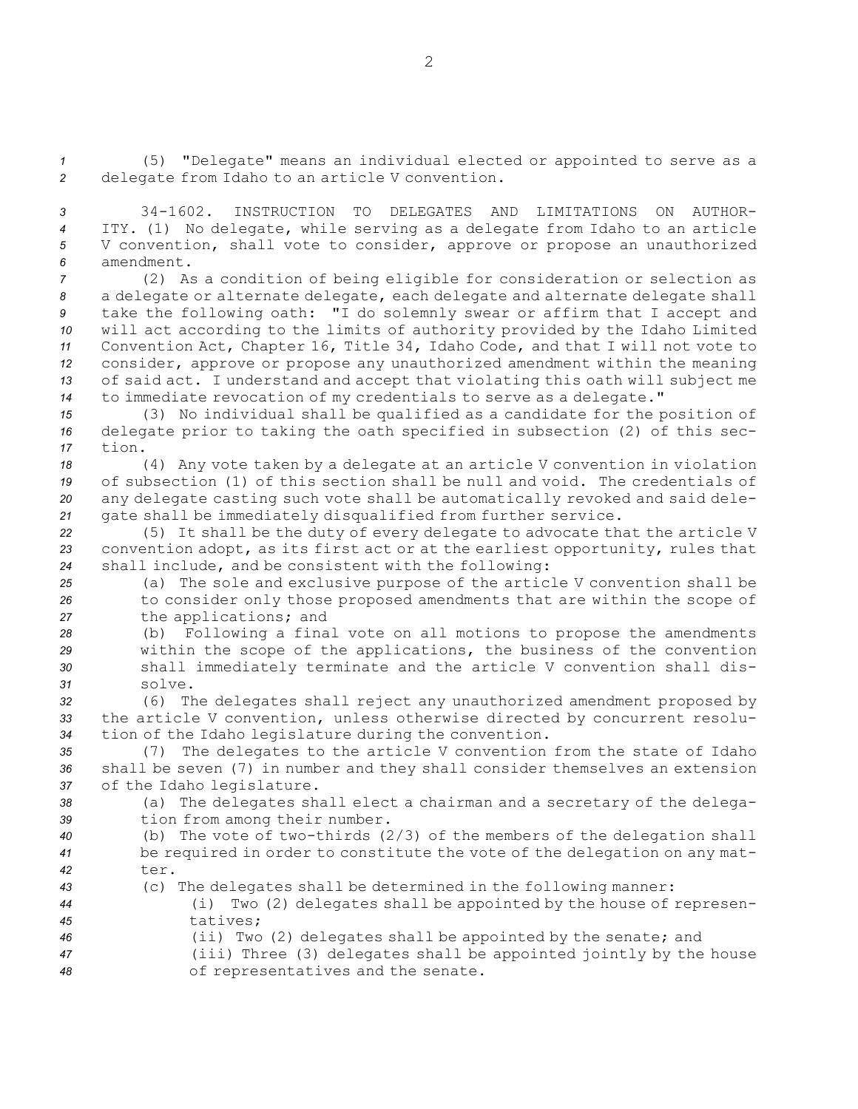*<sup>1</sup>* (5) "Delegate" means an individual elected or appointed to serve as <sup>a</sup> *<sup>2</sup>* delegate from Idaho to an article <sup>V</sup> convention.

 34-1602. INSTRUCTION TO DELEGATES AND LIMITATIONS ON AUTHOR- ITY. (1) No delegate, while serving as <sup>a</sup> delegate from Idaho to an article <sup>V</sup> convention, shall vote to consider, approve or propose an unauthorized amendment.

 (2) As <sup>a</sup> condition of being eligible for consideration or selection as <sup>a</sup> delegate or alternate delegate, each delegate and alternate delegate shall take the following oath: "I do solemnly swear or affirm that <sup>I</sup> accept and will act according to the limits of authority provided by the Idaho Limited Convention Act, Chapter 16, Title 34, Idaho Code, and that <sup>I</sup> will not vote to consider, approve or propose any unauthorized amendment within the meaning of said act. <sup>I</sup> understand and accept that violating this oath will subject me to immediate revocation of my credentials to serve as <sup>a</sup> delegate."

*<sup>15</sup>* (3) No individual shall be qualified as <sup>a</sup> candidate for the position of *<sup>16</sup>* delegate prior to taking the oath specified in subsection (2) of this sec-*17* tion.

 (4) Any vote taken by <sup>a</sup> delegate at an article <sup>V</sup> convention in violation of subsection (1) of this section shall be null and void. The credentials of any delegate casting such vote shall be automatically revoked and said dele-gate shall be immediately disqualified from further service.

*<sup>22</sup>* (5) It shall be the duty of every delegate to advocate that the article <sup>V</sup> *<sup>23</sup>* convention adopt, as its first act or at the earliest opportunity, rules that *<sup>24</sup>* shall include, and be consistent with the following:

*<sup>25</sup>* (a) The sole and exclusive purpose of the article <sup>V</sup> convention shall be *<sup>26</sup>* to consider only those proposed amendments that are within the scope of *<sup>27</sup>* the applications; and

 (b) Following <sup>a</sup> final vote on all motions to propose the amendments within the scope of the applications, the business of the convention shall immediately terminate and the article <sup>V</sup> convention shall dis-*31* solve.

*<sup>32</sup>* (6) The delegates shall reject any unauthorized amendment proposed by *<sup>33</sup>* the article <sup>V</sup> convention, unless otherwise directed by concurrent resolu-*<sup>34</sup>* tion of the Idaho legislature during the convention.

*<sup>35</sup>* (7) The delegates to the article <sup>V</sup> convention from the state of Idaho *<sup>36</sup>* shall be seven (7) in number and they shall consider themselves an extension *<sup>37</sup>* of the Idaho legislature.

*<sup>38</sup>* (a) The delegates shall elect <sup>a</sup> chairman and <sup>a</sup> secretary of the delega-*<sup>39</sup>* tion from among their number.

- *<sup>40</sup>* (b) The vote of two-thirds (2/3) of the members of the delegation shall *<sup>41</sup>* be required in order to constitute the vote of the delegation on any mat-*42* ter.
- 
- *<sup>43</sup>* (c) The delegates shall be determined in the following manner:
- *<sup>44</sup>* (i) Two (2) delegates shall be appointed by the house of represen-*45* tatives;
- *<sup>46</sup>* (ii) Two (2) delegates shall be appointed by the senate; and *<sup>47</sup>* (iii) Three (3) delegates shall be appointed jointly by the house
- *<sup>48</sup>* of representatives and the senate.

2